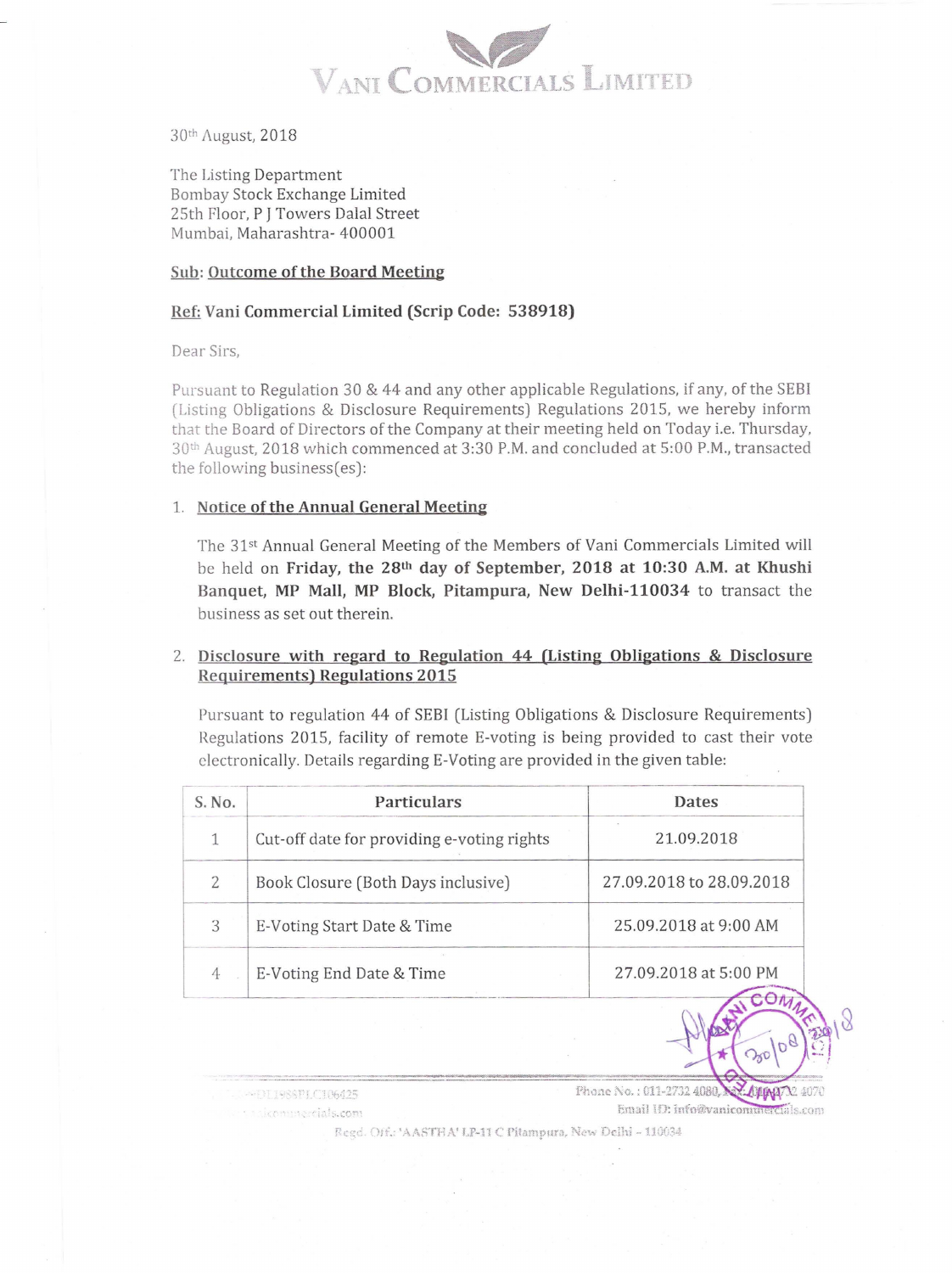

30th August, 2018

The Listing Department Bombay Stock Exchange Limited 25th Ploor, P **J** Towers Dalal Street Mumbai, Maharashtra- 400001

#### **Sub: Outcome of the Board Meeting**

### **Ref: Vani Commercial Limited (Scrip Code: 538918)**

Dear Sirs,

Pursuant to Regulation 30 & 44 and any other applicable Regulations, if any, of the SEBI (Listing Obligations & Disclosure Requirements) Regulations 2015, we hereby inform that the Board of Directors of the Company at their meeting held on Today i.e. Thursday, 30th August, 2018 which commenced at 3:30P.M. and concluded at 5:00P.M., transacted the following business(es):

#### 1. **Notice of the Annual General Meeting**

The 31st Annual General Meeting of the Members of Vani Commercials Limited will be held on **Friday, the 28th day of September, 2018 at 10:30 A.M. at Khushi Banquet, MP Mall, MP Block, Pitampura, New Delhi-110034** to transact the business as set out therein.

## 2. **Disclosure with regard to Regulation 44 (Listing Obligations & Disclosure Requirements) Regulations 2015**

Pursuant to regulation 44 of SEBI (Listing Obligations & Disclosure Requirements) Regulations 2015, facility of remote E-voting is being provided to cast their vote electronically. Details regarding E-Voting are provided in the given table:

| <b>Particulars</b>                         | Dates                    |
|--------------------------------------------|--------------------------|
| Cut-off date for providing e-voting rights | 21.09.2018               |
| Book Closure (Both Days inclusive)         | 27.09.2018 to 28.09.2018 |
| E-Voting Start Date & Time                 | 25.09.2018 at 9:00 AM    |
| E-Voting End Date & Time                   | 27.09.2018 at 5:00 PM    |
|                                            |                          |

COLISSELC106425 aakommercials.com

Phone No.: 011-2732 4080, **ALGALARAL** Email ID: info@vanicommercials.com

Regd. Off.: 'AASTHA' LP-11 C Pitampura, New Delhi - 110034